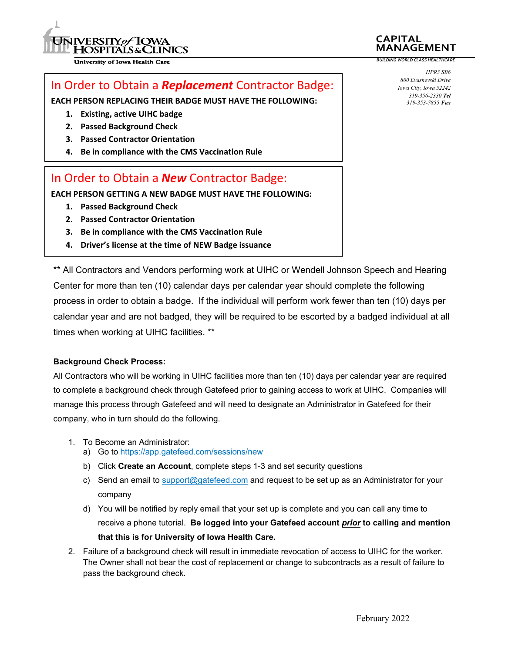

**University of Iowa Health Care** 

## In Order to Obtain a *Replacement* Contractor Badge:

**EACH PERSON REPLACING THEIR BADGE MUST HAVE THE FOLLOWING:**

- **1. Existing, active UIHC badge**
- **2. Passed Background Check**
- **3. Passed Contractor Orientation**
- **4. Be in compliance with the CMS Vaccination Rule**

## In Order to Obtain a *New* Contractor Badge:

**EACH PERSON GETTING A NEW BADGE MUST HAVE THE FOLLOWING:**

- **1. Passed Background Check**
- **2. Passed Contractor Orientation**
- **3. Be in compliance with the CMS Vaccination Rule**
- **4. Driver's license at the time of NEW Badge issuance**

\*\* All Contractors and Vendors performing work at UIHC or Wendell Johnson Speech and Hearing Center for more than ten (10) calendar days per calendar year should complete the following process in order to obtain a badge. If the individual will perform work fewer than ten (10) days per calendar year and are not badged, they will be required to be escorted by a badged individual at all times when working at UIHC facilities. \*\*

#### **Background Check Process:**

All Contractors who will be working in UIHC facilities more than ten (10) days per calendar year are required to complete a background check through Gatefeed prior to gaining access to work at UIHC. Companies will manage this process through Gatefeed and will need to designate an Administrator in Gatefeed for their company, who in turn should do the following.

- 1. To Become an Administrator:
	- a) Go to https://app.gatefeed.com/sessions/new
	- b) Click **Create an Account**, complete steps 1-3 and set security questions
	- c) Send an email to support@gatefeed.com and request to be set up as an Administrator for your company
	- d) You will be notified by reply email that your set up is complete and you can call any time to receive a phone tutorial. **Be logged into your Gatefeed account** *prior* **to calling and mention that this is for University of Iowa Health Care.**
- 2. Failure of a background check will result in immediate revocation of access to UIHC for the worker. The Owner shall not bear the cost of replacement or change to subcontracts as a result of failure to pass the background check.

*HPR3 SB6 800 Evashevski Drive Iowa City, Iowa 52242 319-356-2330 Tel 319-353-7855 Fax*

**MANAGEMENT** *BUILDING WORLD CLASS HEALTHCARE*

**CAPITAL**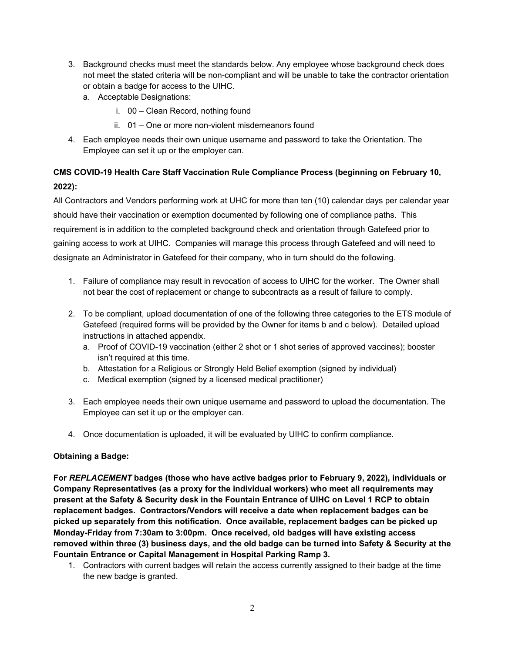- 3. Background checks must meet the standards below. Any employee whose background check does not meet the stated criteria will be non-compliant and will be unable to take the contractor orientation or obtain a badge for access to the UIHC.
	- a. Acceptable Designations:
		- i. 00 Clean Record, nothing found
		- ii. 01 One or more non-violent misdemeanors found
- 4. Each employee needs their own unique username and password to take the Orientation. The Employee can set it up or the employer can.

## **CMS COVID-19 Health Care Staff Vaccination Rule Compliance Process (beginning on February 10, 2022):**

All Contractors and Vendors performing work at UHC for more than ten (10) calendar days per calendar year should have their vaccination or exemption documented by following one of compliance paths. This requirement is in addition to the completed background check and orientation through Gatefeed prior to gaining access to work at UIHC. Companies will manage this process through Gatefeed and will need to designate an Administrator in Gatefeed for their company, who in turn should do the following.

- 1. Failure of compliance may result in revocation of access to UIHC for the worker. The Owner shall not bear the cost of replacement or change to subcontracts as a result of failure to comply.
- 2. To be compliant, upload documentation of one of the following three categories to the ETS module of Gatefeed (required forms will be provided by the Owner for items b and c below). Detailed upload instructions in attached appendix.
	- a. Proof of COVID-19 vaccination (either 2 shot or 1 shot series of approved vaccines); booster isn't required at this time.
	- b. Attestation for a Religious or Strongly Held Belief exemption (signed by individual)
	- c. Medical exemption (signed by a licensed medical practitioner)
- 3. Each employee needs their own unique username and password to upload the documentation. The Employee can set it up or the employer can.
- 4. Once documentation is uploaded, it will be evaluated by UIHC to confirm compliance.

#### **Obtaining a Badge:**

**For** *REPLACEMENT* **badges (those who have active badges prior to February 9, 2022), individuals or Company Representatives (as a proxy for the individual workers) who meet all requirements may present at the Safety & Security desk in the Fountain Entrance of UIHC on Level 1 RCP to obtain replacement badges. Contractors/Vendors will receive a date when replacement badges can be picked up separately from this notification. Once available, replacement badges can be picked up Monday-Friday from 7:30am to 3:00pm. Once received, old badges will have existing access removed within three (3) business days, and the old badge can be turned into Safety & Security at the Fountain Entrance or Capital Management in Hospital Parking Ramp 3.** 

1. Contractors with current badges will retain the access currently assigned to their badge at the time the new badge is granted.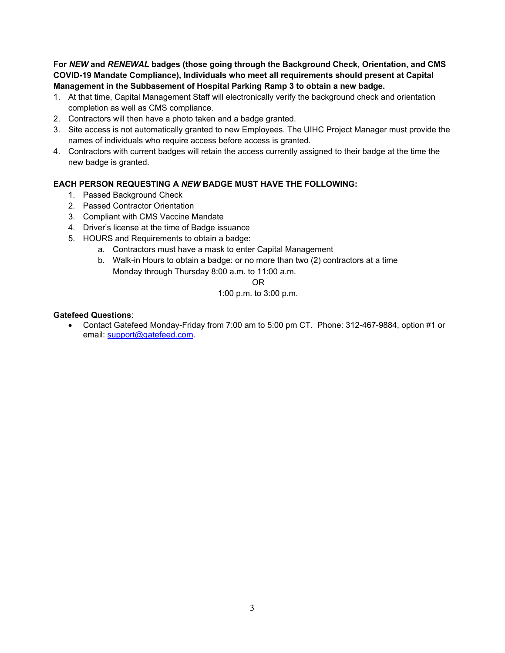**For** *NEW* **and** *RENEWAL* **badges (those going through the Background Check, Orientation, and CMS COVID-19 Mandate Compliance), Individuals who meet all requirements should present at Capital Management in the Subbasement of Hospital Parking Ramp 3 to obtain a new badge.** 

- 1. At that time, Capital Management Staff will electronically verify the background check and orientation completion as well as CMS compliance.
- 2. Contractors will then have a photo taken and a badge granted.
- 3. Site access is not automatically granted to new Employees. The UIHC Project Manager must provide the names of individuals who require access before access is granted.
- 4. Contractors with current badges will retain the access currently assigned to their badge at the time the new badge is granted.

#### **EACH PERSON REQUESTING A** *NEW* **BADGE MUST HAVE THE FOLLOWING:**

- 1. Passed Background Check
- 2. Passed Contractor Orientation
- 3. Compliant with CMS Vaccine Mandate
- 4. Driver's license at the time of Badge issuance
- 5. HOURS and Requirements to obtain a badge:
	- a. Contractors must have a mask to enter Capital Management
	- b. Walk-in Hours to obtain a badge: or no more than two (2) contractors at a time Monday through Thursday 8:00 a.m. to 11:00 a.m.

#### **OR** Service Service Service Service Service Service Service Service Service Service Service Service Service Service Service Service Service Service Service Service Service Service Service Service Service Service Service S

#### 1:00 p.m. to 3:00 p.m.

#### **Gatefeed Questions**:

 Contact Gatefeed Monday-Friday from 7:00 am to 5:00 pm CT. Phone: 312-467-9884, option #1 or email: support@gatefeed.com.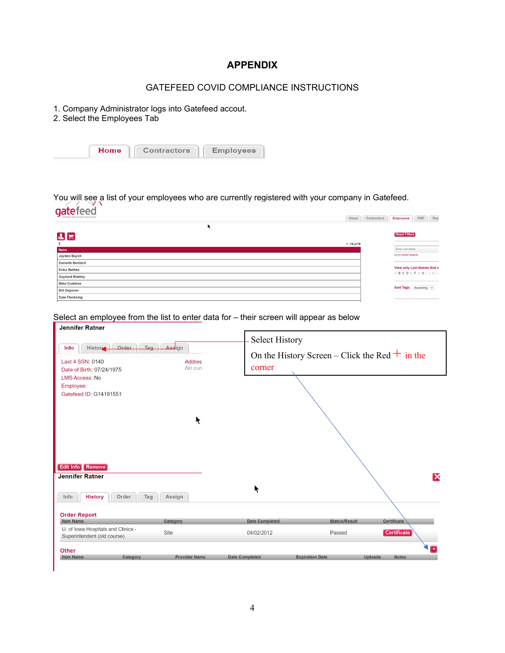## **APPENDIX**

## GATEFEED COVID COMPLIANCE INSTRUCTIONS

- 1. Company Administrator logs into Gatefeed accout.
- 2. Select the Employees Tab

|  | Home | <b>Contractors</b> | <b>Employees</b> |
|--|------|--------------------|------------------|
|--|------|--------------------|------------------|

## You will see a list of your employees who are currently registered with your company in Gatefeed. gatefeed

| CONTRACTOR ACCESS SOLUTIONS | Home           | Contractors | <b>Employees</b>            | PQF | Rep |
|-----------------------------|----------------|-------------|-----------------------------|-----|-----|
|                             |                |             |                             |     |     |
| $\mathbf{A}$ $\mathbf{E}$   |                |             | <b>Reset Filters</b>        |     |     |
|                             | $1 - 19$ of 19 |             |                             |     |     |
| <b>Name</b>                 |                |             | Enter Last Name             |     |     |
| Jayden Baych                |                |             | or try smart search.        |     |     |
| <b>Danielle Benford</b>     |                |             |                             |     |     |
| <b>Erika Bethke</b>         |                |             | View only Last Names that s |     |     |
| <b>Gayland Blakley</b>      |                |             | ABCDEFGHIJKL                |     |     |
| <b>Mike Crabtree</b>        |                |             |                             |     |     |
| <b>Bill Depover</b>         |                |             | Sort Tags: Ascending v      |     |     |
| <b>Dale Flecksing</b>       |                |             |                             |     |     |
|                             |                |             |                             |     |     |

# Select an employee from the list to enter data for – their screen will appear as below<br>Jennifer Ratner

| Jennifer Rather                                                   |                          |                       |                                                  |                                |
|-------------------------------------------------------------------|--------------------------|-----------------------|--------------------------------------------------|--------------------------------|
| Order<br>Tag<br>History-<br>Info                                  | Assign                   | <b>Select History</b> |                                                  |                                |
| Last 4 SSN: 0140<br>Date of Birth: 07/24/1975                     | <b>Addres</b><br>No curi | corner                | On the History Screen – Click the Red $+$ in the |                                |
| <b>LMS Access: No</b>                                             |                          |                       |                                                  |                                |
| Employee:                                                         |                          |                       |                                                  |                                |
| Gatefeed ID: G14191551                                            |                          |                       |                                                  |                                |
|                                                                   | ₹                        |                       |                                                  |                                |
|                                                                   |                          |                       |                                                  |                                |
| Edit Info Remove                                                  |                          |                       |                                                  |                                |
| <b>Jennifer Ratner</b>                                            |                          |                       |                                                  |                                |
| <b>History</b><br>Order<br>Tag<br>Info                            | Assign                   | $\blacktriangleright$ |                                                  |                                |
| <b>Order Report</b>                                               |                          |                       |                                                  |                                |
| <b>Item Name</b>                                                  | Category                 | <b>Date Completed</b> | <b>Status/Result</b>                             | <b>Certificate</b>             |
| U. of Iowa Hospitals and Clinics -<br>Superintendent (old course) | <b>Site</b>              | 04/02/2012            | Passed                                           | Certificate                    |
| <b>Other</b>                                                      |                          |                       |                                                  |                                |
| <b>Item Name</b><br>Category                                      | <b>Provider Name</b>     | <b>Date Completed</b> | <b>Expiration Date</b>                           | <b>Notes</b><br><b>Uploads</b> |